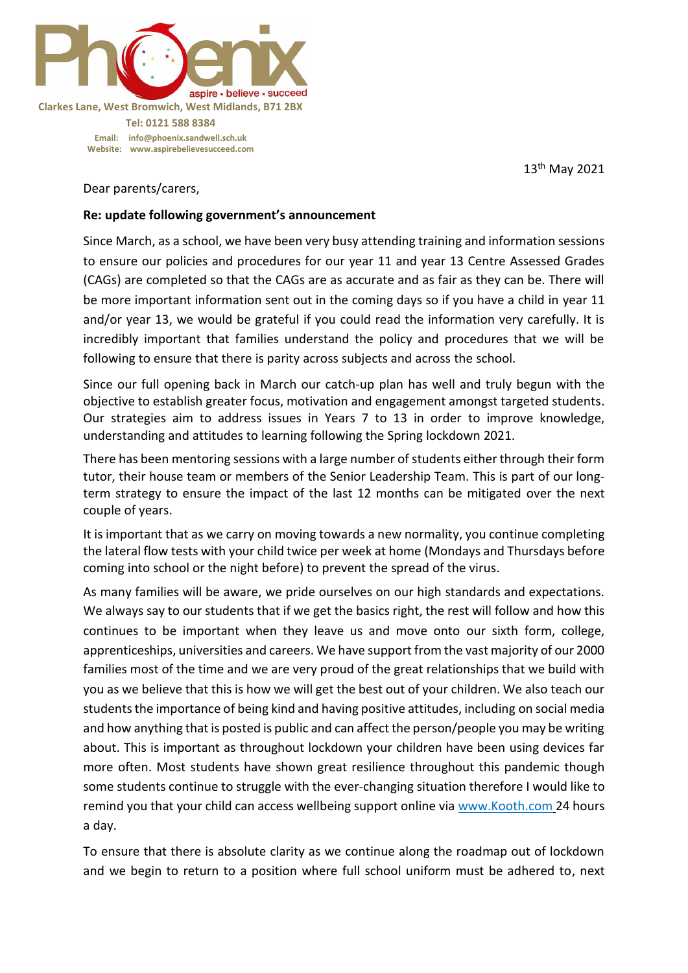

13 th May 2021

Dear parents/carers,

## **Re: update following government's announcement**

Since March, as a school, we have been very busy attending training and information sessions to ensure our policies and procedures for our year 11 and year 13 Centre Assessed Grades (CAGs) are completed so that the CAGs are as accurate and as fair as they can be. There will be more important information sent out in the coming days so if you have a child in year 11 and/or year 13, we would be grateful if you could read the information very carefully. It is incredibly important that families understand the policy and procedures that we will be following to ensure that there is parity across subjects and across the school.

Since our full opening back in March our catch-up plan has well and truly begun with the objective to establish greater focus, motivation and engagement amongst targeted students. Our strategies aim to address issues in Years 7 to 13 in order to improve knowledge, understanding and attitudes to learning following the Spring lockdown 2021.

There has been mentoring sessions with a large number of students either through their form tutor, their house team or members of the Senior Leadership Team. This is part of our longterm strategy to ensure the impact of the last 12 months can be mitigated over the next couple of years.

It is important that as we carry on moving towards a new normality, you continue completing the lateral flow tests with your child twice per week at home (Mondays and Thursdays before coming into school or the night before) to prevent the spread of the virus.

As many families will be aware, we pride ourselves on our high standards and expectations. We always say to our students that if we get the basics right, the rest will follow and how this continues to be important when they leave us and move onto our sixth form, college, apprenticeships, universities and careers. We have support from the vast majority of our 2000 families most of the time and we are very proud of the great relationships that we build with you as we believe that this is how we will get the best out of your children. We also teach our students the importance of being kind and having positive attitudes, including on social media and how anything that is posted is public and can affect the person/people you may be writing about. This is important as throughout lockdown your children have been using devices far more often. Most students have shown great resilience throughout this pandemic though some students continue to struggle with the ever-changing situation therefore I would like to remind you that your child can access wellbeing support online via [www.Kooth.com](http://www.kooth.com/) 24 hours a day.

To ensure that there is absolute clarity as we continue along the roadmap out of lockdown and we begin to return to a position where full school uniform must be adhered to, next